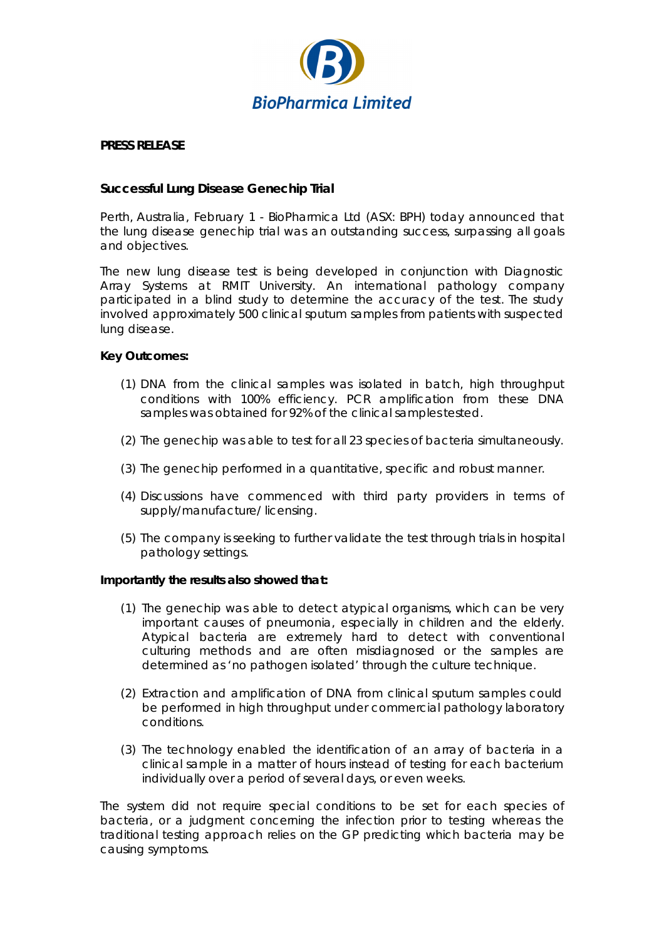

## **PRESS RELEASE**

## **Successful Lung Disease Genechip Trial**

Perth, Australia, February 1 - BioPharmica Ltd (ASX: BPH) today announced that the lung disease genechip trial was an outstanding success, surpassing all goals and objectives.

The new lung disease test is being developed in conjunction with Diagnostic Array Systems at RMIT University. An international pathology company participated in a blind study to determine the accuracy of the test. The study involved approximately 500 clinical sputum samples from patients with suspected lung disease.

## **Key Outcomes:**

- (1) DNA from the clinical samples was isolated in batch, high throughput conditions with 100% efficiency. PCR amplification from these DNA samples was obtained for 92% of the clinical samples tested.
- (2) The genechip was able to test for all 23 species of bacteria simultaneously.
- (3) The genechip performed in a quantitative, specific and robust manner.
- (4) Discussions have commenced with third party providers in terms of supply/manufacture/ licensing.
- (5) The company is seeking to further validate the test through trials in hospital pathology settings.

## **Importantly the results also showed that:**

- (1) The genechip was able to detect atypical organisms, which can be very important causes of pneumonia, especially in children and the elderly. Atypical bacteria are extremely hard to detect with conventional culturing methods and are often misdiagnosed or the samples are determined as 'no pathogen isolated' through the culture technique.
- (2) Extraction and amplification of DNA from clinical sputum samples could be performed in high throughput under commercial pathology laboratory conditions.
- (3) The technology enabled the identification of an array of bacteria in a clinical sample in a matter of hours instead of testing for each bacterium individually over a period of several days, or even weeks.

The system did not require special conditions to be set for each species of bacteria, or a judgment concerning the infection prior to testing whereas the traditional testing approach relies on the GP predicting which bacteria may be causing symptoms.